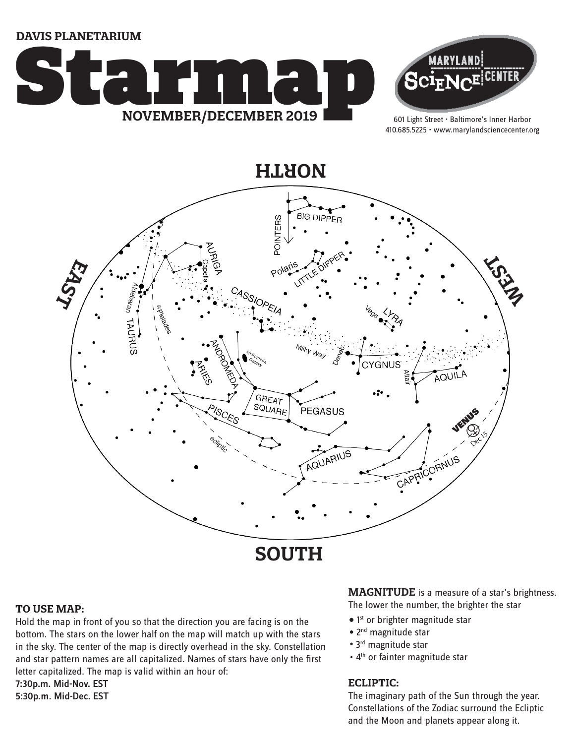**DAVIS PLANETARIUM**





601 Light Street • Baltimore's Inner Harbor 410.685.5225 • www.marylandsciencecenter.org



### **TO USE MAP:**

Hold the map in front of you so that the direction you are facing is on the bottom. The stars on the lower half on the map will match up with the stars in the sky. The center of the map is directly overhead in the sky. Constellation and star pattern names are all capitalized. Names of stars have only the first letter capitalized. The map is valid within an hour of:

7:30p.m. Mid-Nov. EST 5:30p.m. Mid-Dec. EST

### **MAGNITUDE** is a measure of a star's brightness. The lower the number, the brighter the star

• 1<sup>st</sup> or brighter magnitude star

- 2<sup>nd</sup> magnitude star
- 
- 3<sup>rd</sup> magnitude star
- 4<sup>th</sup> or fainter magnitude star

### **ECLIPTIC:**

The imaginary path of the Sun through the year. Constellations of the Zodiac surround the Ecliptic and the Moon and planets appear along it.